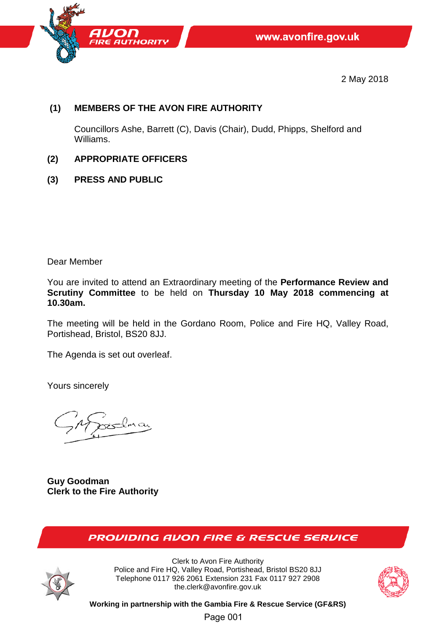

2 May 2018

# **(1) MEMBERS OF THE AVON FIRE AUTHORITY**

Councillors Ashe, Barrett (C), Davis (Chair), Dudd, Phipps, Shelford and Williams.

- **(2) APPROPRIATE OFFICERS**
- **(3) PRESS AND PUBLIC**

Dear Member

You are invited to attend an Extraordinary meeting of the **Performance Review and Scrutiny Committee** to be held on **Thursday 10 May 2018 commencing at 10.30am.**

The meeting will be held in the Gordano Room, Police and Fire HQ, Valley Road, Portishead, Bristol, BS20 8JJ.

The Agenda is set out overleaf.

Yours sincerely

**Guy Goodman Clerk to the Fire Authority**

# **PROVIDING AVON FIRE & RESCUE SERVICE**



Clerk to Avon Fire Authority Police and Fire HQ, Valley Road, Portishead, Bristol BS20 8JJ Telephone 0117 926 2061 Extension 231 Fax 0117 927 2908 the.clerk@avonfire.gov.uk



**Working in partnership with the Gambia Fire & Rescue Service (GF&RS)**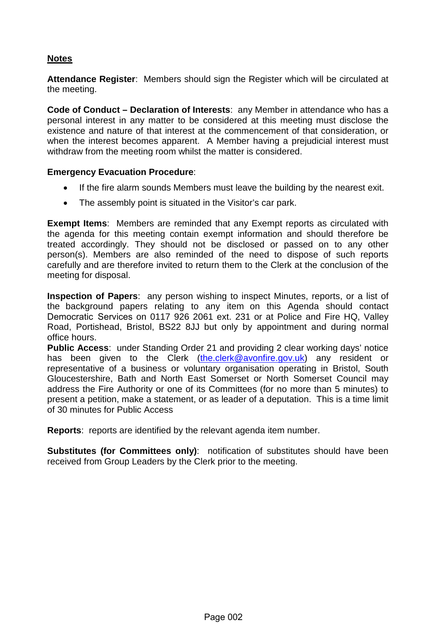# **Notes**

**Attendance Register**: Members should sign the Register which will be circulated at the meeting.

**Code of Conduct – Declaration of Interests**: any Member in attendance who has a personal interest in any matter to be considered at this meeting must disclose the existence and nature of that interest at the commencement of that consideration, or when the interest becomes apparent. A Member having a prejudicial interest must withdraw from the meeting room whilst the matter is considered.

#### **Emergency Evacuation Procedure**:

- If the fire alarm sounds Members must leave the building by the nearest exit.
- The assembly point is situated in the Visitor's car park.

**Exempt Items**: Members are reminded that any Exempt reports as circulated with the agenda for this meeting contain exempt information and should therefore be treated accordingly. They should not be disclosed or passed on to any other person(s). Members are also reminded of the need to dispose of such reports carefully and are therefore invited to return them to the Clerk at the conclusion of the meeting for disposal.

**Inspection of Papers**: any person wishing to inspect Minutes, reports, or a list of the background papers relating to any item on this Agenda should contact Democratic Services on 0117 926 2061 ext. 231 or at Police and Fire HQ, Valley Road, Portishead, Bristol, BS22 8JJ but only by appointment and during normal office hours.

**Public Access**: under Standing Order 21 and providing 2 clear working days' notice has been given to the Clerk [\(the.clerk@avonfire.gov.uk\)](mailto:the.clerk@avonfire.gov.uk) any resident or representative of a business or voluntary organisation operating in Bristol, South Gloucestershire, Bath and North East Somerset or North Somerset Council may address the Fire Authority or one of its Committees (for no more than 5 minutes) to present a petition, make a statement, or as leader of a deputation. This is a time limit of 30 minutes for Public Access

**Reports**:reports are identified by the relevant agenda item number.

**Substitutes (for Committees only)**: notification of substitutes should have been received from Group Leaders by the Clerk prior to the meeting.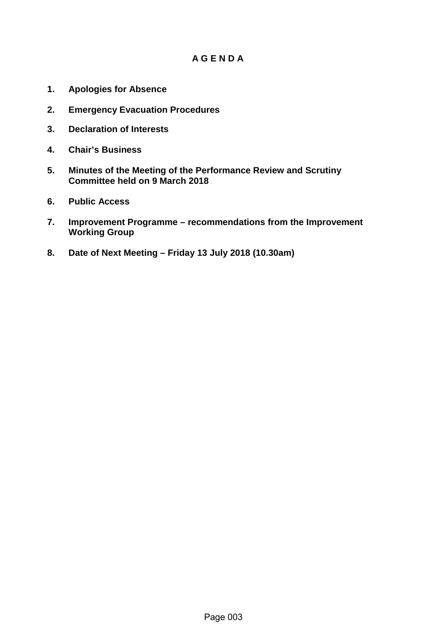# **A G E N D A**

- **1. Apologies for Absence**
- **2. Emergency Evacuation Procedures**
- **3. Declaration of Interests**
- **4. Chair's Business**
- **5. Minutes of the Meeting of the Performance Review and Scrutiny Committee held on 9 March 2018**
- **6. Public Access**
- **7. Improvement Programme recommendations from the Improvement Working Group**
- **8. Date of Next Meeting Friday 13 July 2018 (10.30am)**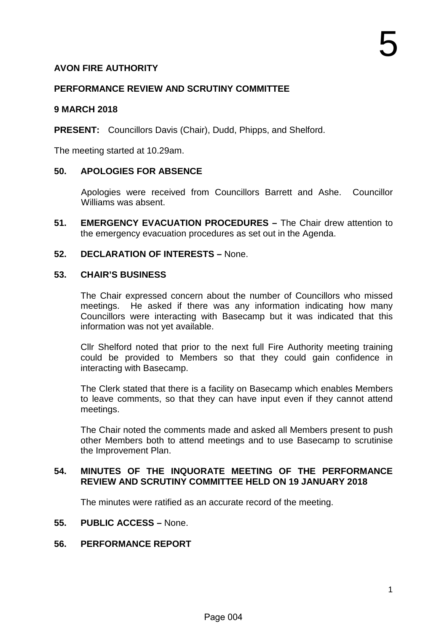# **AVON FIRE AUTHORITY**

#### **PERFORMANCE REVIEW AND SCRUTINY COMMITTEE**

#### **9 MARCH 2018**

**PRESENT:** Councillors Davis (Chair), Dudd, Phipps, and Shelford.

The meeting started at 10.29am.

#### **50. APOLOGIES FOR ABSENCE**

Apologies were received from Councillors Barrett and Ashe. Councillor Williams was absent.

**51. EMERGENCY EVACUATION PROCEDURES –** The Chair drew attention to the emergency evacuation procedures as set out in the Agenda.

# **52. DECLARATION OF INTERESTS –** None.

#### **53. CHAIR'S BUSINESS**

The Chair expressed concern about the number of Councillors who missed meetings. He asked if there was any information indicating how many Councillors were interacting with Basecamp but it was indicated that this information was not yet available.

Cllr Shelford noted that prior to the next full Fire Authority meeting training could be provided to Members so that they could gain confidence in interacting with Basecamp.

The Clerk stated that there is a facility on Basecamp which enables Members to leave comments, so that they can have input even if they cannot attend meetings.

The Chair noted the comments made and asked all Members present to push other Members both to attend meetings and to use Basecamp to scrutinise the Improvement Plan.

#### **54. MINUTES OF THE INQUORATE MEETING OF THE PERFORMANCE REVIEW AND SCRUTINY COMMITTEE HELD ON 19 JANUARY 2018**

The minutes were ratified as an accurate record of the meeting.

#### **55. PUBLIC ACCESS –** None.

#### **56. PERFORMANCE REPORT**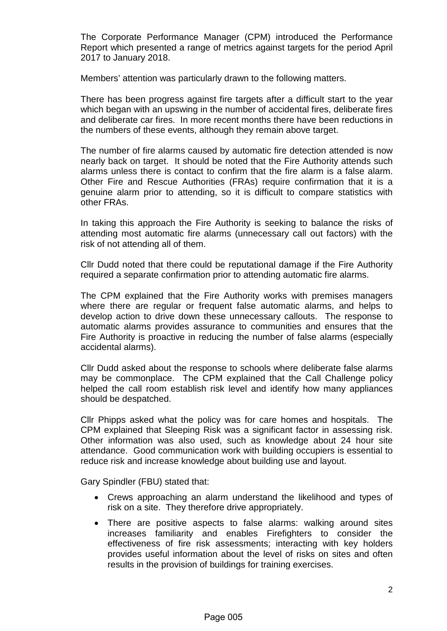The Corporate Performance Manager (CPM) introduced the Performance Report which presented a range of metrics against targets for the period April 2017 to January 2018.

Members' attention was particularly drawn to the following matters.

There has been progress against fire targets after a difficult start to the year which began with an upswing in the number of accidental fires, deliberate fires and deliberate car fires. In more recent months there have been reductions in the numbers of these events, although they remain above target.

The number of fire alarms caused by automatic fire detection attended is now nearly back on target. It should be noted that the Fire Authority attends such alarms unless there is contact to confirm that the fire alarm is a false alarm. Other Fire and Rescue Authorities (FRAs) require confirmation that it is a genuine alarm prior to attending, so it is difficult to compare statistics with other FRAs.

In taking this approach the Fire Authority is seeking to balance the risks of attending most automatic fire alarms (unnecessary call out factors) with the risk of not attending all of them.

Cllr Dudd noted that there could be reputational damage if the Fire Authority required a separate confirmation prior to attending automatic fire alarms.

The CPM explained that the Fire Authority works with premises managers where there are regular or frequent false automatic alarms, and helps to develop action to drive down these unnecessary callouts. The response to automatic alarms provides assurance to communities and ensures that the Fire Authority is proactive in reducing the number of false alarms (especially accidental alarms).

Cllr Dudd asked about the response to schools where deliberate false alarms may be commonplace. The CPM explained that the Call Challenge policy helped the call room establish risk level and identify how many appliances should be despatched.

Cllr Phipps asked what the policy was for care homes and hospitals. The CPM explained that Sleeping Risk was a significant factor in assessing risk. Other information was also used, such as knowledge about 24 hour site attendance. Good communication work with building occupiers is essential to reduce risk and increase knowledge about building use and layout.

Gary Spindler (FBU) stated that:

- Crews approaching an alarm understand the likelihood and types of risk on a site. They therefore drive appropriately.
- There are positive aspects to false alarms: walking around sites increases familiarity and enables Firefighters to consider the effectiveness of fire risk assessments; interacting with key holders provides useful information about the level of risks on sites and often results in the provision of buildings for training exercises.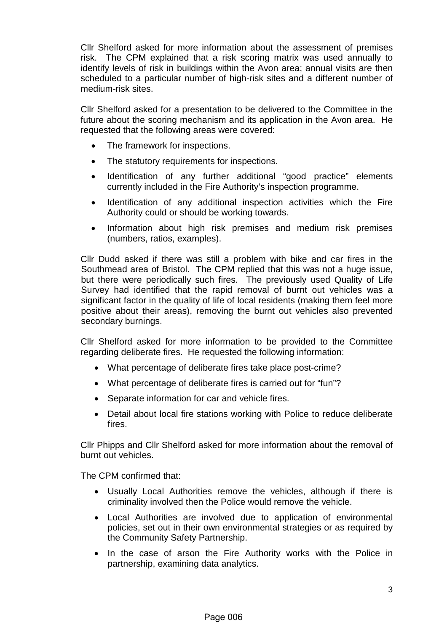Cllr Shelford asked for more information about the assessment of premises risk. The CPM explained that a risk scoring matrix was used annually to identify levels of risk in buildings within the Avon area; annual visits are then scheduled to a particular number of high-risk sites and a different number of medium-risk sites.

Cllr Shelford asked for a presentation to be delivered to the Committee in the future about the scoring mechanism and its application in the Avon area. He requested that the following areas were covered:

- The framework for inspections.
- The statutory requirements for inspections.
- Identification of any further additional "good practice" elements currently included in the Fire Authority's inspection programme.
- Identification of any additional inspection activities which the Fire Authority could or should be working towards.
- Information about high risk premises and medium risk premises (numbers, ratios, examples).

Cllr Dudd asked if there was still a problem with bike and car fires in the Southmead area of Bristol. The CPM replied that this was not a huge issue, but there were periodically such fires. The previously used Quality of Life Survey had identified that the rapid removal of burnt out vehicles was a significant factor in the quality of life of local residents (making them feel more positive about their areas), removing the burnt out vehicles also prevented secondary burnings.

Cllr Shelford asked for more information to be provided to the Committee regarding deliberate fires. He requested the following information:

- What percentage of deliberate fires take place post-crime?
- What percentage of deliberate fires is carried out for "fun"?
- Separate information for car and vehicle fires.
- Detail about local fire stations working with Police to reduce deliberate fires.

Cllr Phipps and Cllr Shelford asked for more information about the removal of burnt out vehicles.

The CPM confirmed that:

- Usually Local Authorities remove the vehicles, although if there is criminality involved then the Police would remove the vehicle.
- Local Authorities are involved due to application of environmental policies, set out in their own environmental strategies or as required by the Community Safety Partnership.
- In the case of arson the Fire Authority works with the Police in partnership, examining data analytics.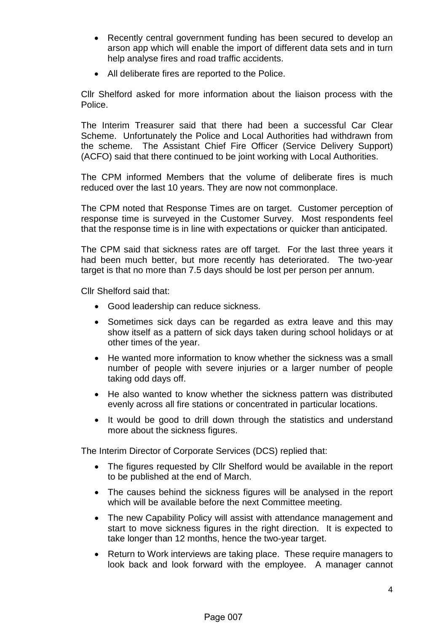- Recently central government funding has been secured to develop an arson app which will enable the import of different data sets and in turn help analyse fires and road traffic accidents.
- All deliberate fires are reported to the Police.

Cllr Shelford asked for more information about the liaison process with the Police.

The Interim Treasurer said that there had been a successful Car Clear Scheme. Unfortunately the Police and Local Authorities had withdrawn from the scheme. The Assistant Chief Fire Officer (Service Delivery Support) (ACFO) said that there continued to be joint working with Local Authorities.

The CPM informed Members that the volume of deliberate fires is much reduced over the last 10 years. They are now not commonplace.

The CPM noted that Response Times are on target. Customer perception of response time is surveyed in the Customer Survey. Most respondents feel that the response time is in line with expectations or quicker than anticipated.

The CPM said that sickness rates are off target. For the last three years it had been much better, but more recently has deteriorated. The two-year target is that no more than 7.5 days should be lost per person per annum.

Cllr Shelford said that:

- Good leadership can reduce sickness.
- Sometimes sick days can be regarded as extra leave and this may show itself as a pattern of sick days taken during school holidays or at other times of the year.
- He wanted more information to know whether the sickness was a small number of people with severe injuries or a larger number of people taking odd days off.
- He also wanted to know whether the sickness pattern was distributed evenly across all fire stations or concentrated in particular locations.
- It would be good to drill down through the statistics and understand more about the sickness figures.

The Interim Director of Corporate Services (DCS) replied that:

- The figures requested by Cllr Shelford would be available in the report to be published at the end of March.
- The causes behind the sickness figures will be analysed in the report which will be available before the next Committee meeting.
- The new Capability Policy will assist with attendance management and start to move sickness figures in the right direction. It is expected to take longer than 12 months, hence the two-year target.
- Return to Work interviews are taking place. These require managers to look back and look forward with the employee. A manager cannot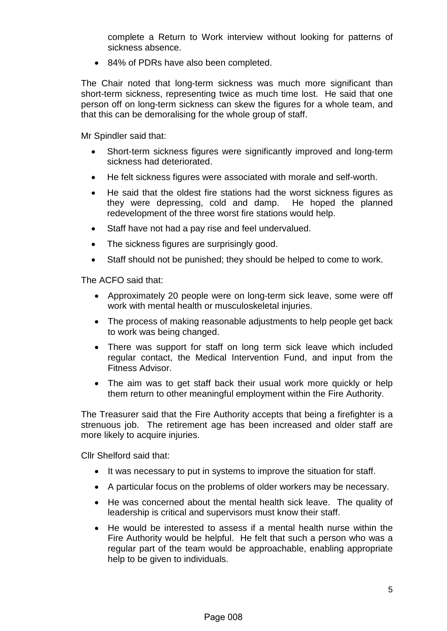complete a Return to Work interview without looking for patterns of sickness absence.

• 84% of PDRs have also been completed.

The Chair noted that long-term sickness was much more significant than short-term sickness, representing twice as much time lost. He said that one person off on long-term sickness can skew the figures for a whole team, and that this can be demoralising for the whole group of staff.

Mr Spindler said that:

- Short-term sickness figures were significantly improved and long-term sickness had deteriorated.
- He felt sickness figures were associated with morale and self-worth.
- He said that the oldest fire stations had the worst sickness figures as they were depressing, cold and damp. He hoped the planned redevelopment of the three worst fire stations would help.
- Staff have not had a pay rise and feel undervalued.
- The sickness figures are surprisingly good.
- Staff should not be punished; they should be helped to come to work.

The ACFO said that:

- Approximately 20 people were on long-term sick leave, some were off work with mental health or musculoskeletal injuries.
- The process of making reasonable adjustments to help people get back to work was being changed.
- There was support for staff on long term sick leave which included regular contact, the Medical Intervention Fund, and input from the Fitness Advisor.
- The aim was to get staff back their usual work more quickly or help them return to other meaningful employment within the Fire Authority.

The Treasurer said that the Fire Authority accepts that being a firefighter is a strenuous job. The retirement age has been increased and older staff are more likely to acquire injuries.

Cllr Shelford said that:

- It was necessary to put in systems to improve the situation for staff.
- A particular focus on the problems of older workers may be necessary.
- He was concerned about the mental health sick leave. The quality of leadership is critical and supervisors must know their staff.
- He would be interested to assess if a mental health nurse within the Fire Authority would be helpful. He felt that such a person who was a regular part of the team would be approachable, enabling appropriate help to be given to individuals.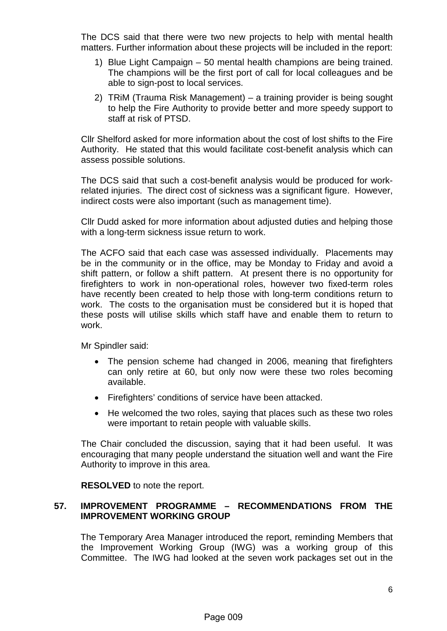The DCS said that there were two new projects to help with mental health matters. Further information about these projects will be included in the report:

- 1) Blue Light Campaign 50 mental health champions are being trained. The champions will be the first port of call for local colleagues and be able to sign-post to local services.
- 2) TRiM (Trauma Risk Management) a training provider is being sought to help the Fire Authority to provide better and more speedy support to staff at risk of PTSD.

Cllr Shelford asked for more information about the cost of lost shifts to the Fire Authority. He stated that this would facilitate cost-benefit analysis which can assess possible solutions.

The DCS said that such a cost-benefit analysis would be produced for workrelated injuries. The direct cost of sickness was a significant figure. However, indirect costs were also important (such as management time).

Cllr Dudd asked for more information about adjusted duties and helping those with a long-term sickness issue return to work.

The ACFO said that each case was assessed individually. Placements may be in the community or in the office, may be Monday to Friday and avoid a shift pattern, or follow a shift pattern. At present there is no opportunity for firefighters to work in non-operational roles, however two fixed-term roles have recently been created to help those with long-term conditions return to work. The costs to the organisation must be considered but it is hoped that these posts will utilise skills which staff have and enable them to return to work.

Mr Spindler said:

- The pension scheme had changed in 2006, meaning that firefighters can only retire at 60, but only now were these two roles becoming available.
- Firefighters' conditions of service have been attacked.
- He welcomed the two roles, saying that places such as these two roles were important to retain people with valuable skills.

The Chair concluded the discussion, saying that it had been useful. It was encouraging that many people understand the situation well and want the Fire Authority to improve in this area.

**RESOLVED** to note the report.

# **57. IMPROVEMENT PROGRAMME – RECOMMENDATIONS FROM THE IMPROVEMENT WORKING GROUP**

The Temporary Area Manager introduced the report, reminding Members that the Improvement Working Group (IWG) was a working group of this Committee. The IWG had looked at the seven work packages set out in the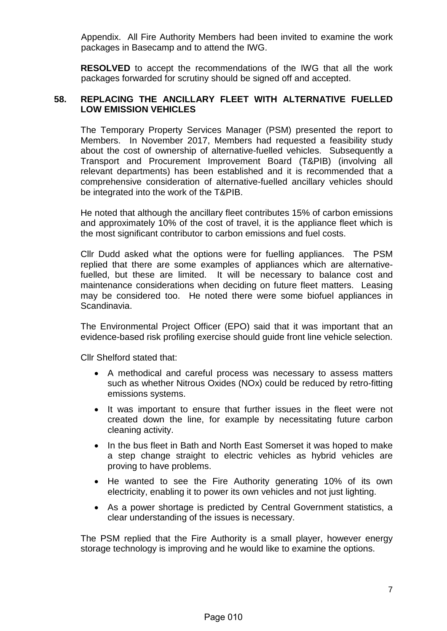Appendix. All Fire Authority Members had been invited to examine the work packages in Basecamp and to attend the IWG.

**RESOLVED** to accept the recommendations of the IWG that all the work packages forwarded for scrutiny should be signed off and accepted.

#### **58. REPLACING THE ANCILLARY FLEET WITH ALTERNATIVE FUELLED LOW EMISSION VEHICLES**

The Temporary Property Services Manager (PSM) presented the report to Members. In November 2017, Members had requested a feasibility study about the cost of ownership of alternative-fuelled vehicles. Subsequently a Transport and Procurement Improvement Board (T&PIB) (involving all relevant departments) has been established and it is recommended that a comprehensive consideration of alternative-fuelled ancillary vehicles should be integrated into the work of the T&PIB.

He noted that although the ancillary fleet contributes 15% of carbon emissions and approximately 10% of the cost of travel, it is the appliance fleet which is the most significant contributor to carbon emissions and fuel costs.

Cllr Dudd asked what the options were for fuelling appliances. The PSM replied that there are some examples of appliances which are alternativefuelled, but these are limited. It will be necessary to balance cost and maintenance considerations when deciding on future fleet matters. Leasing may be considered too. He noted there were some biofuel appliances in Scandinavia.

The Environmental Project Officer (EPO) said that it was important that an evidence-based risk profiling exercise should guide front line vehicle selection.

Cllr Shelford stated that:

- A methodical and careful process was necessary to assess matters such as whether Nitrous Oxides (NOx) could be reduced by retro-fitting emissions systems.
- It was important to ensure that further issues in the fleet were not created down the line, for example by necessitating future carbon cleaning activity.
- In the bus fleet in Bath and North East Somerset it was hoped to make a step change straight to electric vehicles as hybrid vehicles are proving to have problems.
- He wanted to see the Fire Authority generating 10% of its own electricity, enabling it to power its own vehicles and not just lighting.
- As a power shortage is predicted by Central Government statistics, a clear understanding of the issues is necessary.

The PSM replied that the Fire Authority is a small player, however energy storage technology is improving and he would like to examine the options.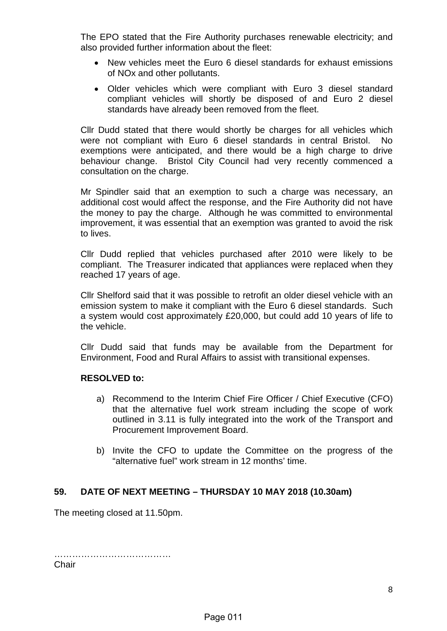The EPO stated that the Fire Authority purchases renewable electricity; and also provided further information about the fleet:

- New vehicles meet the Euro 6 diesel standards for exhaust emissions of NOx and other pollutants.
- Older vehicles which were compliant with Euro 3 diesel standard compliant vehicles will shortly be disposed of and Euro 2 diesel standards have already been removed from the fleet.

Cllr Dudd stated that there would shortly be charges for all vehicles which were not compliant with Euro 6 diesel standards in central Bristol. No exemptions were anticipated, and there would be a high charge to drive behaviour change. Bristol City Council had very recently commenced a consultation on the charge.

Mr Spindler said that an exemption to such a charge was necessary, an additional cost would affect the response, and the Fire Authority did not have the money to pay the charge. Although he was committed to environmental improvement, it was essential that an exemption was granted to avoid the risk to lives.

Cllr Dudd replied that vehicles purchased after 2010 were likely to be compliant. The Treasurer indicated that appliances were replaced when they reached 17 years of age.

Cllr Shelford said that it was possible to retrofit an older diesel vehicle with an emission system to make it compliant with the Euro 6 diesel standards. Such a system would cost approximately £20,000, but could add 10 years of life to the vehicle.

Cllr Dudd said that funds may be available from the Department for Environment, Food and Rural Affairs to assist with transitional expenses.

#### **RESOLVED to:**

- a) Recommend to the Interim Chief Fire Officer / Chief Executive (CFO) that the alternative fuel work stream including the scope of work outlined in 3.11 is fully integrated into the work of the Transport and Procurement Improvement Board.
- b) Invite the CFO to update the Committee on the progress of the "alternative fuel" work stream in 12 months' time.

#### **59. DATE OF NEXT MEETING – THURSDAY 10 MAY 2018 (10.30am)**

The meeting closed at 11.50pm.

………………………………… **Chair**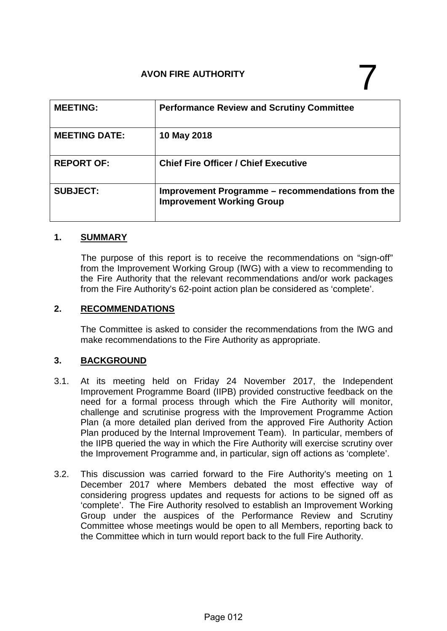# AVON FIRE AUTHORITY

| <b>MEETING:</b>      | <b>Performance Review and Scrutiny Committee</b>                                     |
|----------------------|--------------------------------------------------------------------------------------|
| <b>MEETING DATE:</b> | 10 May 2018                                                                          |
| <b>REPORT OF:</b>    | <b>Chief Fire Officer / Chief Executive</b>                                          |
| <b>SUBJECT:</b>      | Improvement Programme – recommendations from the<br><b>Improvement Working Group</b> |

# **1. SUMMARY**

The purpose of this report is to receive the recommendations on "sign-off" from the Improvement Working Group (IWG) with a view to recommending to the Fire Authority that the relevant recommendations and/or work packages from the Fire Authority's 62-point action plan be considered as 'complete'.

# **2. RECOMMENDATIONS**

The Committee is asked to consider the recommendations from the IWG and make recommendations to the Fire Authority as appropriate.

# **3. BACKGROUND**

- 3.1. At its meeting held on Friday 24 November 2017, the Independent Improvement Programme Board (IIPB) provided constructive feedback on the need for a formal process through which the Fire Authority will monitor, challenge and scrutinise progress with the Improvement Programme Action Plan (a more detailed plan derived from the approved Fire Authority Action Plan produced by the Internal Improvement Team). In particular, members of the IIPB queried the way in which the Fire Authority will exercise scrutiny over the Improvement Programme and, in particular, sign off actions as 'complete'.
- 3.2. This discussion was carried forward to the Fire Authority's meeting on 1 December 2017 where Members debated the most effective way of considering progress updates and requests for actions to be signed off as 'complete'. The Fire Authority resolved to establish an Improvement Working Group under the auspices of the Performance Review and Scrutiny Committee whose meetings would be open to all Members, reporting back to the Committee which in turn would report back to the full Fire Authority.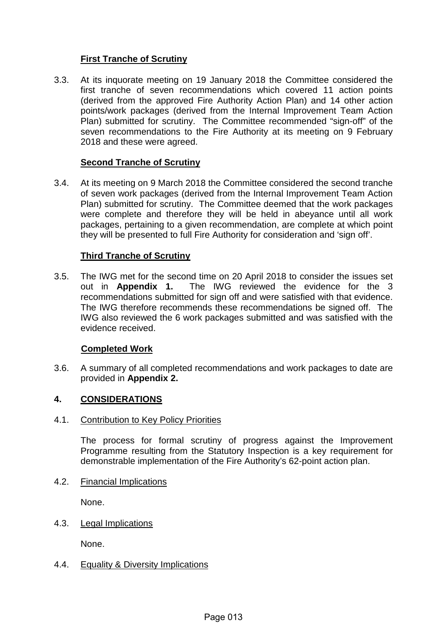# **First Tranche of Scrutiny**

3.3. At its inquorate meeting on 19 January 2018 the Committee considered the first tranche of seven recommendations which covered 11 action points (derived from the approved Fire Authority Action Plan) and 14 other action points/work packages (derived from the Internal Improvement Team Action Plan) submitted for scrutiny. The Committee recommended "sign-off" of the seven recommendations to the Fire Authority at its meeting on 9 February 2018 and these were agreed.

#### **Second Tranche of Scrutiny**

3.4. At its meeting on 9 March 2018 the Committee considered the second tranche of seven work packages (derived from the Internal Improvement Team Action Plan) submitted for scrutiny. The Committee deemed that the work packages were complete and therefore they will be held in abeyance until all work packages, pertaining to a given recommendation, are complete at which point they will be presented to full Fire Authority for consideration and 'sign off'.

#### **Third Tranche of Scrutiny**

3.5. The IWG met for the second time on 20 April 2018 to consider the issues set<br>out in **Appendix 1.** The IWG reviewed the evidence for the 3 The IWG reviewed the evidence for the 3 recommendations submitted for sign off and were satisfied with that evidence. The IWG therefore recommends these recommendations be signed off. The IWG also reviewed the 6 work packages submitted and was satisfied with the evidence received.

#### **Completed Work**

3.6. A summary of all completed recommendations and work packages to date are provided in **Appendix 2.** 

# **4. CONSIDERATIONS**

#### 4.1. Contribution to Key Policy Priorities

The process for formal scrutiny of progress against the Improvement Programme resulting from the Statutory Inspection is a key requirement for demonstrable implementation of the Fire Authority's 62-point action plan.

4.2. Financial Implications

None.

4.3. Legal Implications

None.

#### 4.4. Equality & Diversity Implications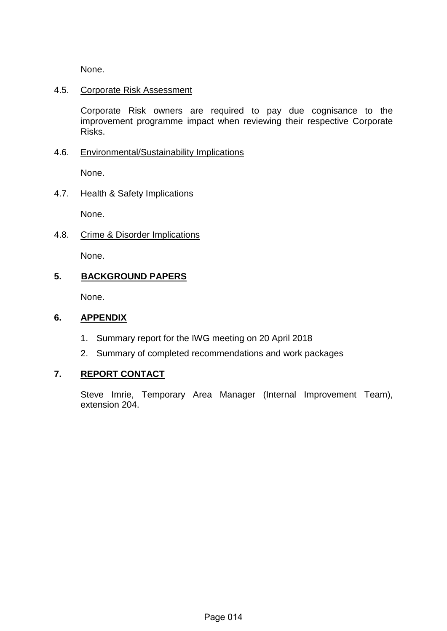None.

#### 4.5. Corporate Risk Assessment

Corporate Risk owners are required to pay due cognisance to the improvement programme impact when reviewing their respective Corporate Risks.

# 4.6. Environmental/Sustainability Implications

None.

# 4.7. Health & Safety Implications

None.

4.8. Crime & Disorder Implications None.

# **5. BACKGROUND PAPERS**

None.

#### **6. APPENDIX**

- 1. Summary report for the IWG meeting on 20 April 2018
- 2. Summary of completed recommendations and work packages

# **7. REPORT CONTACT**

Steve Imrie, Temporary Area Manager (Internal Improvement Team), extension 204.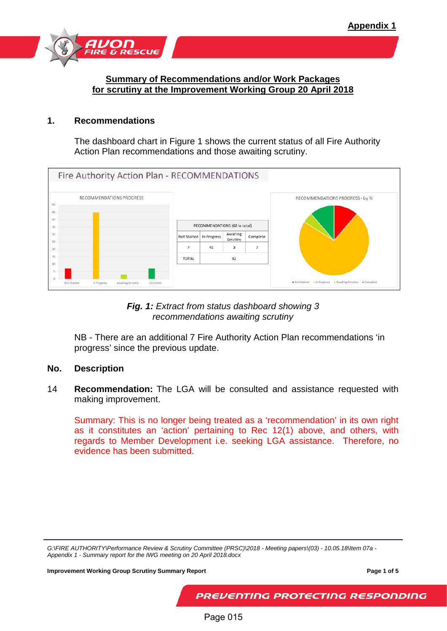

#### **Summary of Recommendations and/or Work Packages for scrutiny at the Improvement Working Group 20 April 2018**

#### **1. Recommendations**

The dashboard chart in Figure 1 shows the current status of all Fire Authority Action Plan recommendations and those awaiting scrutiny.

| Fire Authority Action Plan - RECOMMENDATIONS                |              |                               |                      |                |                                                          |
|-------------------------------------------------------------|--------------|-------------------------------|----------------------|----------------|----------------------------------------------------------|
| RECOMMENDATIONS PROGRESS<br>50<br>45                        |              |                               |                      |                | RECOMMENDATIONS PROGRESS - by %                          |
| 40<br>35                                                    |              | RECOMMENDATIONS (62 in total) |                      |                |                                                          |
| 30<br>25                                                    |              | Not Started   In Progress     | Awaiting<br>Scrutiny | Complete       |                                                          |
| 20                                                          | 7            | 45                            | 3                    | $\overline{ }$ |                                                          |
| 15<br>10                                                    | <b>TOTAL</b> |                               | 62                   |                |                                                          |
|                                                             |              |                               |                      |                |                                                          |
| Not Started<br>In Progress<br>Awaiting Scrutiny<br>Complete |              |                               |                      |                | Not Started . In Progress . Awaiting Scrutiny . Complete |

*Fig. 1: Extract from status dashboard showing 3 recommendations awaiting scrutiny*

NB - There are an additional 7 Fire Authority Action Plan recommendations 'in progress' since the previous update.

#### **No. Description**

14 **Recommendation:** The LGA will be consulted and assistance requested with making improvement.

Summary: This is no longer being treated as a 'recommendation' in its own right as it constitutes an 'action' pertaining to Rec 12(1) above, and others, with regards to Member Development i.e. seeking LGA assistance. Therefore, no evidence has been submitted.

**Improvement Working Group Scrutiny Summary Report Page 1 of 5 Page 1 of 5** 

PREVENTING PROTECTING RESPONDING

Page 015

*G:\FIRE AUTHORITY\Performance Review & Scrutiny Committee (PRSC)\2018 - Meeting papers\(03) - 10.05.18\Item 07a - Appendix 1 - Summary report for the IWG meeting on 20 April 2018.docx*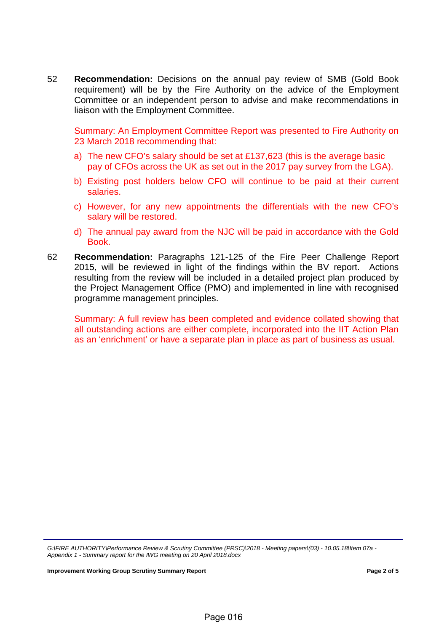52 **Recommendation:** Decisions on the annual pay review of SMB (Gold Book requirement) will be by the Fire Authority on the advice of the Employment Committee or an independent person to advise and make recommendations in liaison with the Employment Committee.

Summary: An Employment Committee Report was presented to Fire Authority on 23 March 2018 recommending that:

- a) The new CFO's salary should be set at £137,623 (this is the average basic pay of CFOs across the UK as set out in the 2017 pay survey from the LGA).
- b) Existing post holders below CFO will continue to be paid at their current salaries.
- c) However, for any new appointments the differentials with the new CFO's salary will be restored.
- d) The annual pay award from the NJC will be paid in accordance with the Gold Book.
- 62 **Recommendation:** Paragraphs 121-125 of the Fire Peer Challenge Report 2015, will be reviewed in light of the findings within the BV report. Actions resulting from the review will be included in a detailed project plan produced by the Project Management Office (PMO) and implemented in line with recognised programme management principles.

Summary: A full review has been completed and evidence collated showing that all outstanding actions are either complete, incorporated into the IIT Action Plan as an 'enrichment' or have a separate plan in place as part of business as usual.

*G:\FIRE AUTHORITY\Performance Review & Scrutiny Committee (PRSC)\2018 - Meeting papers\(03) - 10.05.18\Item 07a - Appendix 1 - Summary report for the IWG meeting on 20 April 2018.docx*

**Improvement Working Group Scrutiny Summary Report Page 2 of 5**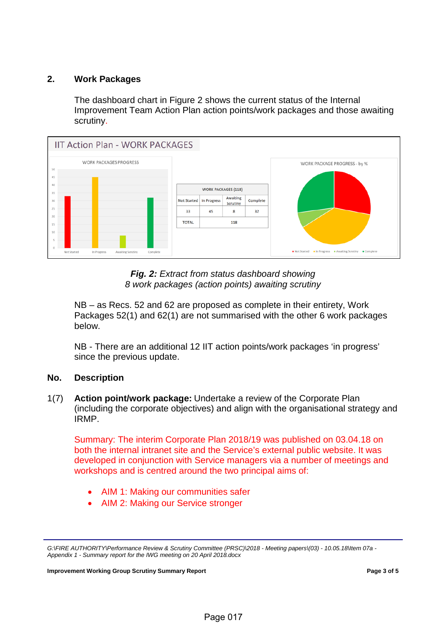# **2. Work Packages**

The dashboard chart in Figure 2 shows the current status of the Internal Improvement Team Action Plan action points/work packages and those awaiting scrutiny.





NB – as Recs. 52 and 62 are proposed as complete in their entirety, Work Packages 52(1) and 62(1) are not summarised with the other 6 work packages below.

NB - There are an additional 12 IIT action points/work packages 'in progress' since the previous update.

#### **No. Description**

1(7) **Action point/work package:** Undertake a review of the Corporate Plan (including the corporate objectives) and align with the organisational strategy and IRMP.

Summary: The interim Corporate Plan 2018/19 was published on 03.04.18 on both the internal intranet site and the Service's external public website. It was developed in conjunction with Service managers via a number of meetings and workshops and is centred around the two principal aims of:

- AIM 1: Making our communities safer
- AIM 2: Making our Service stronger

**Improvement Working Group Scrutiny Summary Report Page 3 of 5 Page 3 of 5** 

*G:\FIRE AUTHORITY\Performance Review & Scrutiny Committee (PRSC)\2018 - Meeting papers\(03) - 10.05.18\Item 07a - Appendix 1 - Summary report for the IWG meeting on 20 April 2018.docx*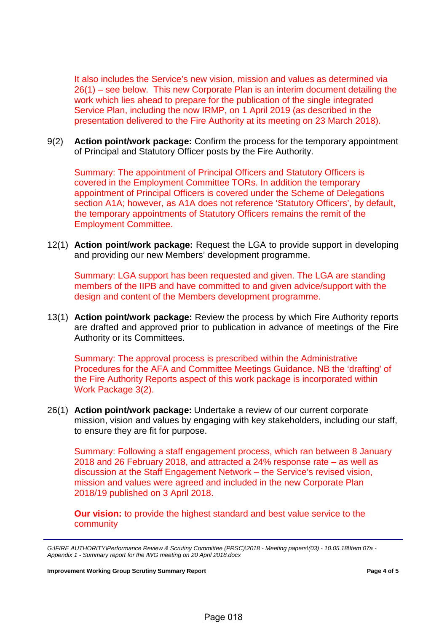It also includes the Service's new vision, mission and values as determined via 26(1) – see below. This new Corporate Plan is an interim document detailing the work which lies ahead to prepare for the publication of the single integrated Service Plan, including the now IRMP, on 1 April 2019 (as described in the presentation delivered to the Fire Authority at its meeting on 23 March 2018).

9(2) **Action point/work package:** Confirm the process for the temporary appointment of Principal and Statutory Officer posts by the Fire Authority.

Summary: The appointment of Principal Officers and Statutory Officers is covered in the Employment Committee TORs. In addition the temporary appointment of Principal Officers is covered under the Scheme of Delegations section A1A; however, as A1A does not reference 'Statutory Officers', by default, the temporary appointments of Statutory Officers remains the remit of the Employment Committee.

12(1) **Action point/work package:** Request the LGA to provide support in developing and providing our new Members' development programme.

Summary: LGA support has been requested and given. The LGA are standing members of the IIPB and have committed to and given advice/support with the design and content of the Members development programme.

13(1) **Action point/work package:** Review the process by which Fire Authority reports are drafted and approved prior to publication in advance of meetings of the Fire Authority or its Committees.

Summary: The approval process is prescribed within the Administrative Procedures for the AFA and Committee Meetings Guidance. NB the 'drafting' of the Fire Authority Reports aspect of this work package is incorporated within Work Package 3(2).

26(1) **Action point/work package:** Undertake a review of our current corporate mission, vision and values by engaging with key stakeholders, including our staff, to ensure they are fit for purpose.

Summary: Following a staff engagement process, which ran between 8 January 2018 and 26 February 2018, and attracted a 24% response rate – as well as discussion at the Staff Engagement Network – the Service's revised vision, mission and values were agreed and included in the new Corporate Plan 2018/19 published on 3 April 2018.

**Our vision:** to provide the highest standard and best value service to the community

*G:\FIRE AUTHORITY\Performance Review & Scrutiny Committee (PRSC)\2018 - Meeting papers\(03) - 10.05.18\Item 07a - Appendix 1 - Summary report for the IWG meeting on 20 April 2018.docx*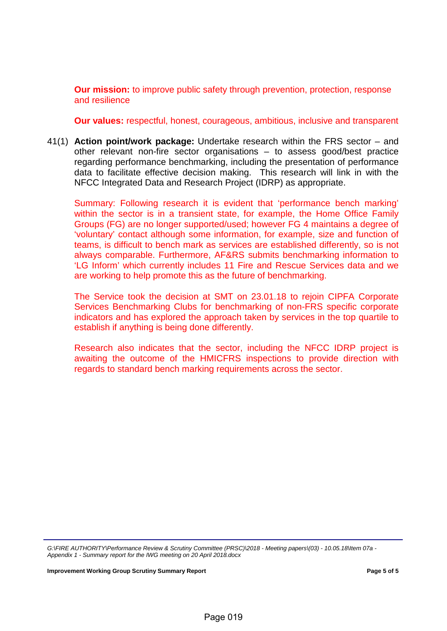**Our mission:** to improve public safety through prevention, protection, response and resilience

**Our values:** respectful, honest, courageous, ambitious, inclusive and transparent

41(1) **Action point/work package:** Undertake research within the FRS sector – and other relevant non-fire sector organisations – to assess good/best practice regarding performance benchmarking, including the presentation of performance data to facilitate effective decision making. This research will link in with the NFCC Integrated Data and Research Project (IDRP) as appropriate.

Summary: Following research it is evident that 'performance bench marking' within the sector is in a transient state, for example, the Home Office Family Groups (FG) are no longer supported/used; however FG 4 maintains a degree of 'voluntary' contact although some information, for example, size and function of teams, is difficult to bench mark as services are established differently, so is not always comparable. Furthermore, AF&RS submits benchmarking information to 'LG Inform' which currently includes 11 Fire and Rescue Services data and we are working to help promote this as the future of benchmarking.

The Service took the decision at SMT on 23.01.18 to rejoin CIPFA Corporate Services Benchmarking Clubs for benchmarking of non-FRS specific corporate indicators and has explored the approach taken by services in the top quartile to establish if anything is being done differently.

Research also indicates that the sector, including the NFCC IDRP project is awaiting the outcome of the HMICFRS inspections to provide direction with regards to standard bench marking requirements across the sector.

*G:\FIRE AUTHORITY\Performance Review & Scrutiny Committee (PRSC)\2018 - Meeting papers\(03) - 10.05.18\Item 07a - Appendix 1 - Summary report for the IWG meeting on 20 April 2018.docx*

**Improvement Working Group Scrutiny Summary Report Page 5 of 5**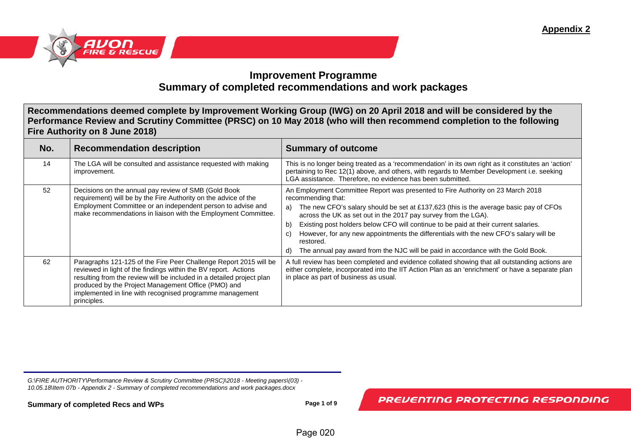

# **Improvement Programme Summary of completed recommendations and work packages**

**Recommendations deemed complete by Improvement Working Group (IWG) on 20 April 2018 and will be considered by the Performance Review and Scrutiny Committee (PRSC) on 10 May 2018 (who will then recommend completion to the following Fire Authority on 8 June 2018)**

| No. | <b>Recommendation description</b>                                                                                                                                                                                                                                                                                                               | <b>Summary of outcome</b>                                                                                                                                                                                                                                                                                                                                                                                                                                                                                                                                                 |
|-----|-------------------------------------------------------------------------------------------------------------------------------------------------------------------------------------------------------------------------------------------------------------------------------------------------------------------------------------------------|---------------------------------------------------------------------------------------------------------------------------------------------------------------------------------------------------------------------------------------------------------------------------------------------------------------------------------------------------------------------------------------------------------------------------------------------------------------------------------------------------------------------------------------------------------------------------|
| 14  | The LGA will be consulted and assistance requested with making<br>improvement.                                                                                                                                                                                                                                                                  | This is no longer being treated as a 'recommendation' in its own right as it constitutes an 'action'<br>pertaining to Rec 12(1) above, and others, with regards to Member Development i.e. seeking<br>LGA assistance. Therefore, no evidence has been submitted.                                                                                                                                                                                                                                                                                                          |
| 52  | Decisions on the annual pay review of SMB (Gold Book<br>requirement) will be by the Fire Authority on the advice of the<br>Employment Committee or an independent person to advise and<br>make recommendations in liaison with the Employment Committee.                                                                                        | An Employment Committee Report was presented to Fire Authority on 23 March 2018<br>recommending that:<br>The new CFO's salary should be set at £137,623 (this is the average basic pay of CFOs<br>a)<br>across the UK as set out in the 2017 pay survey from the LGA).<br>Existing post holders below CFO will continue to be paid at their current salaries.<br>b)<br>However, for any new appointments the differentials with the new CFO's salary will be<br>C)<br>restored.<br>The annual pay award from the NJC will be paid in accordance with the Gold Book.<br>d) |
| 62  | Paragraphs 121-125 of the Fire Peer Challenge Report 2015 will be<br>reviewed in light of the findings within the BV report. Actions<br>resulting from the review will be included in a detailed project plan<br>produced by the Project Management Office (PMO) and<br>implemented in line with recognised programme management<br>principles. | A full review has been completed and evidence collated showing that all outstanding actions are<br>either complete, incorporated into the IIT Action Plan as an 'enrichment' or have a separate plan<br>in place as part of business as usual.                                                                                                                                                                                                                                                                                                                            |

*G:\FIRE AUTHORITY\Performance Review & Scrutiny Committee (PRSC)\2018 - Meeting papers\(03) - 10.05.18\Item 07b - Appendix 2 - Summary of completed recommendations and work packages.docx*

**Summary of completed Recs and WPs Page 1 of 9 Page 1 of 9**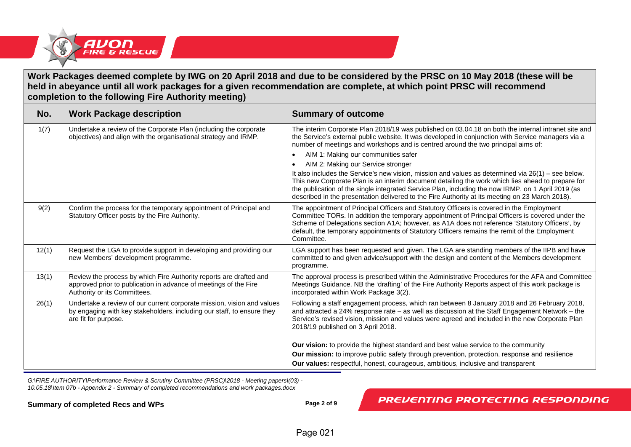

#### **Work Packages deemed complete by IWG on 20 April 2018 and due to be considered by the PRSC on 10 May 2018 (these will be held in abeyance until all work packages for a given recommendation are complete, at which point PRSC will recommend completion to the following Fire Authority meeting)**

| No.   | <b>Work Package description</b>                                                                                                                                          | <b>Summary of outcome</b>                                                                                                                                                                                                                                                                                                                                                                                                                                                                                                                                                                                                                                                                                                                                                                         |
|-------|--------------------------------------------------------------------------------------------------------------------------------------------------------------------------|---------------------------------------------------------------------------------------------------------------------------------------------------------------------------------------------------------------------------------------------------------------------------------------------------------------------------------------------------------------------------------------------------------------------------------------------------------------------------------------------------------------------------------------------------------------------------------------------------------------------------------------------------------------------------------------------------------------------------------------------------------------------------------------------------|
| 1(7)  | Undertake a review of the Corporate Plan (including the corporate<br>objectives) and align with the organisational strategy and IRMP.                                    | The interim Corporate Plan 2018/19 was published on 03.04.18 on both the internal intranet site and<br>the Service's external public website. It was developed in conjunction with Service managers via a<br>number of meetings and workshops and is centred around the two principal aims of:<br>AIM 1: Making our communities safer<br>AIM 2: Making our Service stronger<br>It also includes the Service's new vision, mission and values as determined via $26(1)$ – see below.<br>This new Corporate Plan is an interim document detailing the work which lies ahead to prepare for<br>the publication of the single integrated Service Plan, including the now IRMP, on 1 April 2019 (as<br>described in the presentation delivered to the Fire Authority at its meeting on 23 March 2018). |
| 9(2)  | Confirm the process for the temporary appointment of Principal and<br>Statutory Officer posts by the Fire Authority.                                                     | The appointment of Principal Officers and Statutory Officers is covered in the Employment<br>Committee TORs. In addition the temporary appointment of Principal Officers is covered under the<br>Scheme of Delegations section A1A; however, as A1A does not reference 'Statutory Officers', by<br>default, the temporary appointments of Statutory Officers remains the remit of the Employment<br>Committee.                                                                                                                                                                                                                                                                                                                                                                                    |
| 12(1) | Request the LGA to provide support in developing and providing our<br>new Members' development programme.                                                                | LGA support has been requested and given. The LGA are standing members of the IIPB and have<br>committed to and given advice/support with the design and content of the Members development<br>programme.                                                                                                                                                                                                                                                                                                                                                                                                                                                                                                                                                                                         |
| 13(1) | Review the process by which Fire Authority reports are drafted and<br>approved prior to publication in advance of meetings of the Fire<br>Authority or its Committees.   | The approval process is prescribed within the Administrative Procedures for the AFA and Committee<br>Meetings Guidance. NB the 'drafting' of the Fire Authority Reports aspect of this work package is<br>incorporated within Work Package 3(2).                                                                                                                                                                                                                                                                                                                                                                                                                                                                                                                                                  |
| 26(1) | Undertake a review of our current corporate mission, vision and values<br>by engaging with key stakeholders, including our staff, to ensure they<br>are fit for purpose. | Following a staff engagement process, which ran between 8 January 2018 and 26 February 2018,<br>and attracted a 24% response rate – as well as discussion at the Staff Engagement Network – the<br>Service's revised vision, mission and values were agreed and included in the new Corporate Plan<br>2018/19 published on 3 April 2018.                                                                                                                                                                                                                                                                                                                                                                                                                                                          |
|       |                                                                                                                                                                          | <b>Our vision:</b> to provide the highest standard and best value service to the community<br>Our mission: to improve public safety through prevention, protection, response and resilience                                                                                                                                                                                                                                                                                                                                                                                                                                                                                                                                                                                                       |
|       |                                                                                                                                                                          | <b>Our values:</b> respectful, honest, courageous, ambitious, inclusive and transparent                                                                                                                                                                                                                                                                                                                                                                                                                                                                                                                                                                                                                                                                                                           |

*G:\FIRE AUTHORITY\Performance Review & Scrutiny Committee (PRSC)\2018 - Meeting papers\(03) - 10.05.18\Item 07b - Appendix 2 - Summary of completed recommendations and work packages.docx*

**Summary of completed Recs and WPs Page 2 of 9**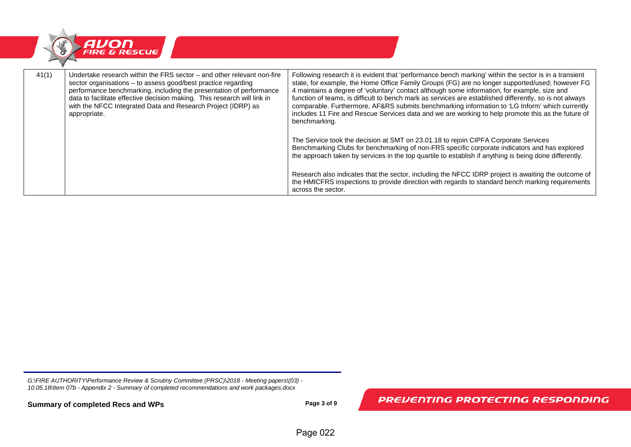

| 41(1) | Undertake research within the FRS sector – and other relevant non-fire<br>sector organisations – to assess good/best practice regarding<br>performance benchmarking, including the presentation of performance<br>data to facilitate effective decision making. This research will link in<br>with the NFCC Integrated Data and Research Project (IDRP) as<br>appropriate. | Following research it is evident that 'performance bench marking' within the sector is in a transient<br>state, for example, the Home Office Family Groups (FG) are no longer supported/used; however FG<br>4 maintains a degree of 'voluntary' contact although some information, for example, size and<br>function of teams, is difficult to bench mark as services are established differently, so is not always<br>comparable. Furthermore, AF&RS submits benchmarking information to 'LG Inform' which currently<br>includes 11 Fire and Rescue Services data and we are working to help promote this as the future of<br>benchmarking. |
|-------|----------------------------------------------------------------------------------------------------------------------------------------------------------------------------------------------------------------------------------------------------------------------------------------------------------------------------------------------------------------------------|----------------------------------------------------------------------------------------------------------------------------------------------------------------------------------------------------------------------------------------------------------------------------------------------------------------------------------------------------------------------------------------------------------------------------------------------------------------------------------------------------------------------------------------------------------------------------------------------------------------------------------------------|
|       |                                                                                                                                                                                                                                                                                                                                                                            | The Service took the decision at SMT on 23.01.18 to rejoin CIPFA Corporate Services<br>Benchmarking Clubs for benchmarking of non-FRS specific corporate indicators and has explored<br>the approach taken by services in the top quartile to establish if anything is being done differently.                                                                                                                                                                                                                                                                                                                                               |
|       |                                                                                                                                                                                                                                                                                                                                                                            | Research also indicates that the sector, including the NFCC IDRP project is awaiting the outcome of<br>the HMICFRS inspections to provide direction with regards to standard bench marking requirements<br>across the sector.                                                                                                                                                                                                                                                                                                                                                                                                                |

**Summary of completed Recs and WPs Page 3 of 9**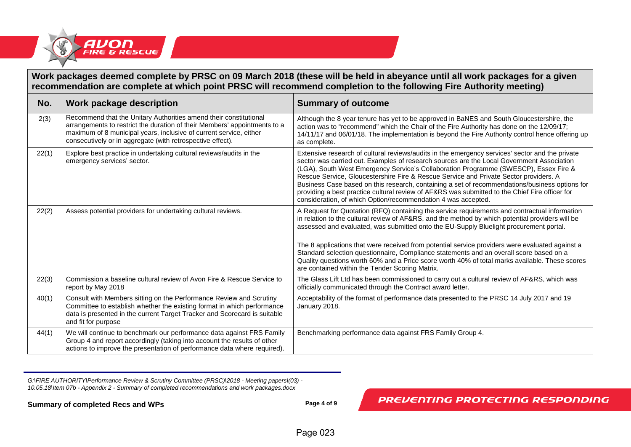

# **Work packages deemed complete by PRSC on 09 March 2018 (these will be held in abeyance until all work packages for a given recommendation are complete at which point PRSC will recommend completion to the following Fire Authority meeting)**

| No.   | Work package description                                                                                                                                                                                                                                                           | <b>Summary of outcome</b>                                                                                                                                                                                                                                                                                                                                                                                                                                                                                                                                                                                                                          |
|-------|------------------------------------------------------------------------------------------------------------------------------------------------------------------------------------------------------------------------------------------------------------------------------------|----------------------------------------------------------------------------------------------------------------------------------------------------------------------------------------------------------------------------------------------------------------------------------------------------------------------------------------------------------------------------------------------------------------------------------------------------------------------------------------------------------------------------------------------------------------------------------------------------------------------------------------------------|
| 2(3)  | Recommend that the Unitary Authorities amend their constitutional<br>arrangements to restrict the duration of their Members' appointments to a<br>maximum of 8 municipal years, inclusive of current service, either<br>consecutively or in aggregate (with retrospective effect). | Although the 8 year tenure has yet to be approved in BaNES and South Gloucestershire, the<br>action was to "recommend" which the Chair of the Fire Authority has done on the 12/09/17;<br>14/11/17 and 06/01/18. The implementation is beyond the Fire Authority control hence offering up<br>as complete.                                                                                                                                                                                                                                                                                                                                         |
| 22(1) | Explore best practice in undertaking cultural reviews/audits in the<br>emergency services' sector.                                                                                                                                                                                 | Extensive research of cultural reviews/audits in the emergency services' sector and the private<br>sector was carried out. Examples of research sources are the Local Government Association<br>(LGA), South West Emergency Service's Collaboration Programme (SWESCP), Essex Fire &<br>Rescue Service, Gloucestershire Fire & Rescue Service and Private Sector providers. A<br>Business Case based on this research, containing a set of recommendations/business options for<br>providing a best practice cultural review of AF&RS was submitted to the Chief Fire officer for<br>consideration, of which Option/recommendation 4 was accepted. |
| 22(2) | Assess potential providers for undertaking cultural reviews.                                                                                                                                                                                                                       | A Request for Quotation (RFQ) containing the service requirements and contractual information<br>in relation to the cultural review of AF&RS, and the method by which potential providers will be<br>assessed and evaluated, was submitted onto the EU-Supply Bluelight procurement portal.<br>The 8 applications that were received from potential service providers were evaluated against a<br>Standard selection questionnaire, Compliance statements and an overall score based on a<br>Quality questions worth 60% and a Price score worth 40% of total marks available. These scores<br>are contained within the Tender Scoring Matrix.     |
| 22(3) | Commission a baseline cultural review of Avon Fire & Rescue Service to<br>report by May 2018                                                                                                                                                                                       | The Glass Lift Ltd has been commissioned to carry out a cultural review of AF&RS, which was<br>officially communicated through the Contract award letter.                                                                                                                                                                                                                                                                                                                                                                                                                                                                                          |
| 40(1) | Consult with Members sitting on the Performance Review and Scrutiny<br>Committee to establish whether the existing format in which performance<br>data is presented in the current Target Tracker and Scorecard is suitable<br>and fit for purpose                                 | Acceptability of the format of performance data presented to the PRSC 14 July 2017 and 19<br>January 2018.                                                                                                                                                                                                                                                                                                                                                                                                                                                                                                                                         |
| 44(1) | We will continue to benchmark our performance data against FRS Family<br>Group 4 and report accordingly (taking into account the results of other<br>actions to improve the presentation of performance data where required).                                                      | Benchmarking performance data against FRS Family Group 4.                                                                                                                                                                                                                                                                                                                                                                                                                                                                                                                                                                                          |

*G:\FIRE AUTHORITY\Performance Review & Scrutiny Committee (PRSC)\2018 - Meeting papers\(03) - 10.05.18\Item 07b - Appendix 2 - Summary of completed recommendations and work packages.docx*

**Summary of completed Recs and WPs Page 4 of 9**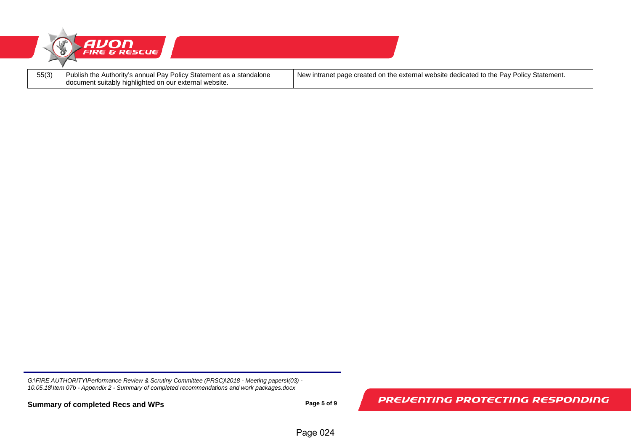

**Summary of completed Recs and WPs Page 5 of 9**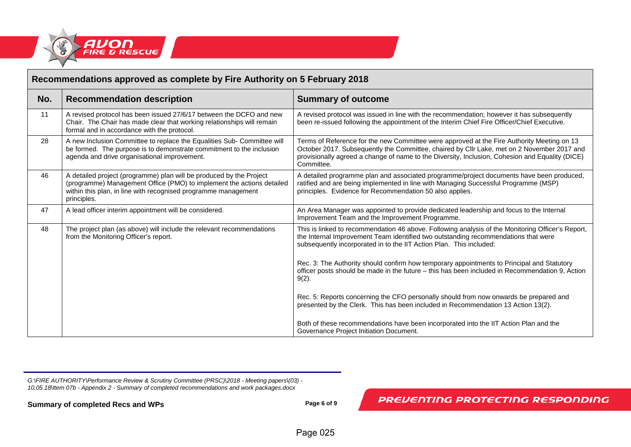

| Recommendations approved as complete by Fire Authority on 5 February 2018 |                                                                                                                                                                                                                               |                                                                                                                                                                                                                                                                                                           |
|---------------------------------------------------------------------------|-------------------------------------------------------------------------------------------------------------------------------------------------------------------------------------------------------------------------------|-----------------------------------------------------------------------------------------------------------------------------------------------------------------------------------------------------------------------------------------------------------------------------------------------------------|
| No.                                                                       | <b>Recommendation description</b>                                                                                                                                                                                             | <b>Summary of outcome</b>                                                                                                                                                                                                                                                                                 |
| 11                                                                        | A revised protocol has been issued 27/6/17 between the DCFO and new<br>Chair. The Chair has made clear that working relationships will remain<br>formal and in accordance with the protocol.                                  | A revised protocol was issued in line with the recommendation; however it has subsequently<br>been re-issued following the appointment of the Interim Chief Fire Officer/Chief Executive.                                                                                                                 |
| 28                                                                        | A new Inclusion Committee to replace the Equalities Sub- Committee will<br>be formed. The purpose is to demonstrate commitment to the inclusion<br>agenda and drive organisational improvement.                               | Terms of Reference for the new Committee were approved at the Fire Authority Meeting on 13<br>October 2017. Subsequently the Committee, chaired by Cllr Lake, met on 2 November 2017 and<br>provisionally agreed a change of name to the Diversity, Inclusion, Cohesion and Equality (DICE)<br>Committee. |
| 46                                                                        | A detailed project (programme) plan will be produced by the Project<br>(programme) Management Office (PMO) to implement the actions detailed<br>within this plan, in line with recognised programme management<br>principles. | A detailed programme plan and associated programme/project documents have been produced,<br>ratified and are being implemented in line with Managing Successful Programme (MSP)<br>principles. Evidence for Recommendation 50 also applies.                                                               |
| 47                                                                        | A lead officer interim appointment will be considered.                                                                                                                                                                        | An Area Manager was appointed to provide dedicated leadership and focus to the Internal<br>Improvement Team and the Improvement Programme.                                                                                                                                                                |
| 48                                                                        | The project plan (as above) will include the relevant recommendations<br>from the Monitoring Officer's report.                                                                                                                | This is linked to recommendation 46 above. Following analysis of the Monitoring Officer's Report,<br>the Internal Improvement Team identified two outstanding recommendations that were<br>subsequently incorporated in to the IIT Action Plan. This included:                                            |
|                                                                           |                                                                                                                                                                                                                               | Rec. 3: The Authority should confirm how temporary appointments to Principal and Statutory<br>officer posts should be made in the future - this has been included in Recommendation 9, Action<br>$9(2)$ .                                                                                                 |
|                                                                           |                                                                                                                                                                                                                               | Rec. 5: Reports concerning the CFO personally should from now onwards be prepared and<br>presented by the Clerk. This has been included in Recommendation 13 Action 13(2).                                                                                                                                |
|                                                                           |                                                                                                                                                                                                                               | Both of these recommendations have been incorporated into the IIT Action Plan and the<br>Governance Project Initiation Document.                                                                                                                                                                          |

**Summary of completed Recs and WPs Page 6 of 9**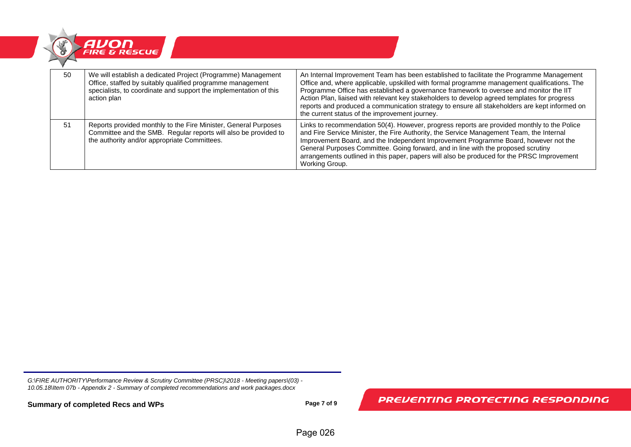

| 50 | We will establish a dedicated Project (Programme) Management<br>Office, staffed by suitably qualified programme management<br>specialists, to coordinate and support the implementation of this<br>action plan | An Internal Improvement Team has been established to facilitate the Programme Management<br>Office and, where applicable, upskilled with formal programme management qualifications. The<br>Programme Office has established a governance framework to oversee and monitor the IIT<br>Action Plan, liaised with relevant key stakeholders to develop agreed templates for progress<br>reports and produced a communication strategy to ensure all stakeholders are kept informed on<br>the current status of the improvement journey. |
|----|----------------------------------------------------------------------------------------------------------------------------------------------------------------------------------------------------------------|---------------------------------------------------------------------------------------------------------------------------------------------------------------------------------------------------------------------------------------------------------------------------------------------------------------------------------------------------------------------------------------------------------------------------------------------------------------------------------------------------------------------------------------|
| 51 | Reports provided monthly to the Fire Minister, General Purposes<br>Committee and the SMB. Regular reports will also be provided to<br>the authority and/or appropriate Committees.                             | Links to recommendation 50(4). However, progress reports are provided monthly to the Police<br>and Fire Service Minister, the Fire Authority, the Service Management Team, the Internal<br>Improvement Board, and the Independent Improvement Programme Board, however not the<br>General Purposes Committee. Going forward, and in line with the proposed scrutiny<br>arrangements outlined in this paper, papers will also be produced for the PRSC Improvement<br>Working Group.                                                   |

**Summary of completed Recs and WPs Page 7 of 9 Page 7 of 9**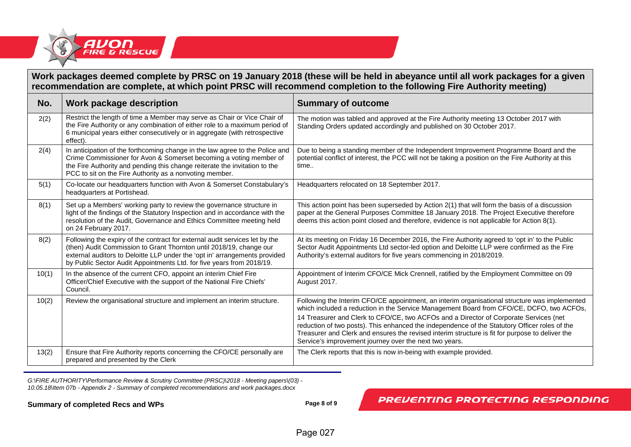

### **Work packages deemed complete by PRSC on 19 January 2018 (these will be held in abeyance until all work packages for a given recommendation are complete, at which point PRSC will recommend completion to the following Fire Authority meeting)**

| No.   | <b>Work package description</b>                                                                                                                                                                                                                                                                           | <b>Summary of outcome</b>                                                                                                                                                                                                                                                                                                                           |
|-------|-----------------------------------------------------------------------------------------------------------------------------------------------------------------------------------------------------------------------------------------------------------------------------------------------------------|-----------------------------------------------------------------------------------------------------------------------------------------------------------------------------------------------------------------------------------------------------------------------------------------------------------------------------------------------------|
| 2(2)  | Restrict the length of time a Member may serve as Chair or Vice Chair of<br>the Fire Authority or any combination of either role to a maximum period of<br>6 municipal years either consecutively or in aggregate (with retrospective<br>effect).                                                         | The motion was tabled and approved at the Fire Authority meeting 13 October 2017 with<br>Standing Orders updated accordingly and published on 30 October 2017.                                                                                                                                                                                      |
| 2(4)  | In anticipation of the forthcoming change in the law agree to the Police and<br>Crime Commissioner for Avon & Somerset becoming a voting member of<br>the Fire Authority and pending this change reiterate the invitation to the<br>PCC to sit on the Fire Authority as a nonvoting member.               | Due to being a standing member of the Independent Improvement Programme Board and the<br>potential conflict of interest, the PCC will not be taking a position on the Fire Authority at this<br>time                                                                                                                                                |
| 5(1)  | Co-locate our headquarters function with Avon & Somerset Constabulary's<br>headquarters at Portishead.                                                                                                                                                                                                    | Headquarters relocated on 18 September 2017.                                                                                                                                                                                                                                                                                                        |
| 8(1)  | Set up a Members' working party to review the governance structure in<br>light of the findings of the Statutory Inspection and in accordance with the<br>resolution of the Audit, Governance and Ethics Committee meeting held<br>on 24 February 2017.                                                    | This action point has been superseded by Action 2(1) that will form the basis of a discussion<br>paper at the General Purposes Committee 18 January 2018. The Project Executive therefore<br>deems this action point closed and therefore, evidence is not applicable for Action 8(1).                                                              |
| 8(2)  | Following the expiry of the contract for external audit services let by the<br>(then) Audit Commission to Grant Thornton until 2018/19, change our<br>external auditors to Deloitte LLP under the 'opt in' arrangements provided<br>by Public Sector Audit Appointments Ltd. for five years from 2018/19. | At its meeting on Friday 16 December 2016, the Fire Authority agreed to 'opt in' to the Public<br>Sector Audit Appointments Ltd sector-led option and Deloitte LLP were confirmed as the Fire<br>Authority's external auditors for five years commencing in 2018/2019.                                                                              |
| 10(1) | In the absence of the current CFO, appoint an interim Chief Fire<br>Officer/Chief Executive with the support of the National Fire Chiefs'<br>Council.                                                                                                                                                     | Appointment of Interim CFO/CE Mick Crennell, ratified by the Employment Committee on 09<br>August 2017.                                                                                                                                                                                                                                             |
| 10(2) | Review the organisational structure and implement an interim structure.                                                                                                                                                                                                                                   | Following the Interim CFO/CE appointment, an interim organisational structure was implemented<br>which included a reduction in the Service Management Board from CFO/CE, DCFO, two ACFOs,                                                                                                                                                           |
|       |                                                                                                                                                                                                                                                                                                           | 14 Treasurer and Clerk to CFO/CE, two ACFOs and a Director of Corporate Services (net<br>reduction of two posts). This enhanced the independence of the Statutory Officer roles of the<br>Treasurer and Clerk and ensures the revised interim structure is fit for purpose to deliver the<br>Service's improvement journey over the next two years. |
| 13(2) | Ensure that Fire Authority reports concerning the CFO/CE personally are<br>prepared and presented by the Clerk                                                                                                                                                                                            | The Clerk reports that this is now in-being with example provided.                                                                                                                                                                                                                                                                                  |

*G:\FIRE AUTHORITY\Performance Review & Scrutiny Committee (PRSC)\2018 - Meeting papers\(03) - 10.05.18\Item 07b - Appendix 2 - Summary of completed recommendations and work packages.docx*

#### **Summary of completed Recs and WPs Page 8 of 9 Page 8 of 9**